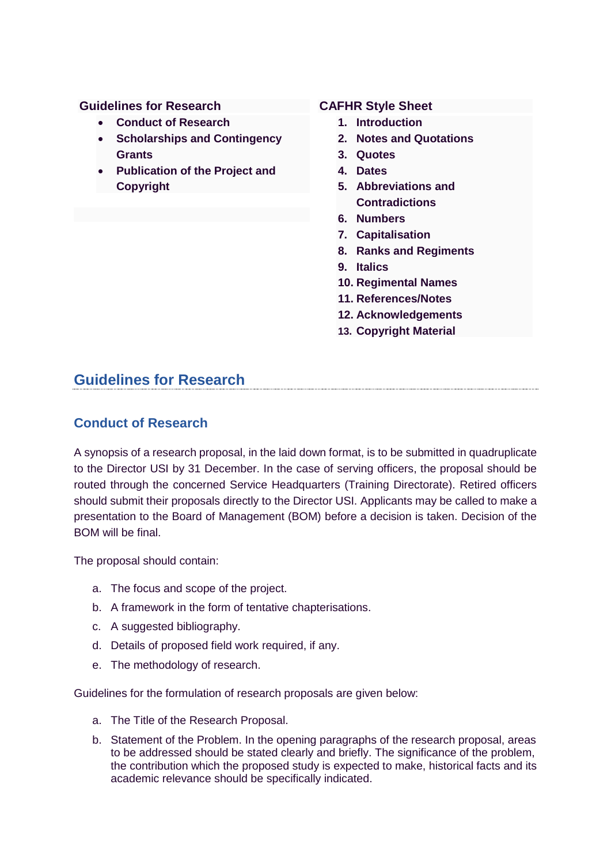#### **Guidelines for Research**

- **Conduct of Research**
- **Scholarships and Contingency Grants**
- **Publication of the Project and Copyright**

#### **CAFHR Style Sheet**

- **1. Introduction**
- **2. Notes and Quotations**
- **3. Quotes**
- **4. Dates**
- **5. Abbreviations and Contradictions**
- **6. Numbers**
- **7. Capitalisation**
- **8. Ranks and Regiments**
- **9. Italics**
- **10. Regimental Names**
- **11. References/Notes**
- **12. Acknowledgements**
- **13. Copyright Material**

## **Guidelines for Research**

#### **Conduct of Research**

A synopsis of a research proposal, in the laid down format, is to be submitted in quadruplicate to the Director USI by 31 December. In the case of serving officers, the proposal should be routed through the concerned Service Headquarters (Training Directorate). Retired officers should submit their proposals directly to the Director USI. Applicants may be called to make a presentation to the Board of Management (BOM) before a decision is taken. Decision of the BOM will be final.

The proposal should contain:

- a. The focus and scope of the project.
- b. A framework in the form of tentative chapterisations.
- c. A suggested bibliography.
- d. Details of proposed field work required, if any.
- e. The methodology of research.

Guidelines for the formulation of research proposals are given below:

- a. The Title of the Research Proposal.
- b. Statement of the Problem. In the opening paragraphs of the research proposal, areas to be addressed should be stated clearly and briefly. The significance of the problem, the contribution which the proposed study is expected to make, historical facts and its academic relevance should be specifically indicated.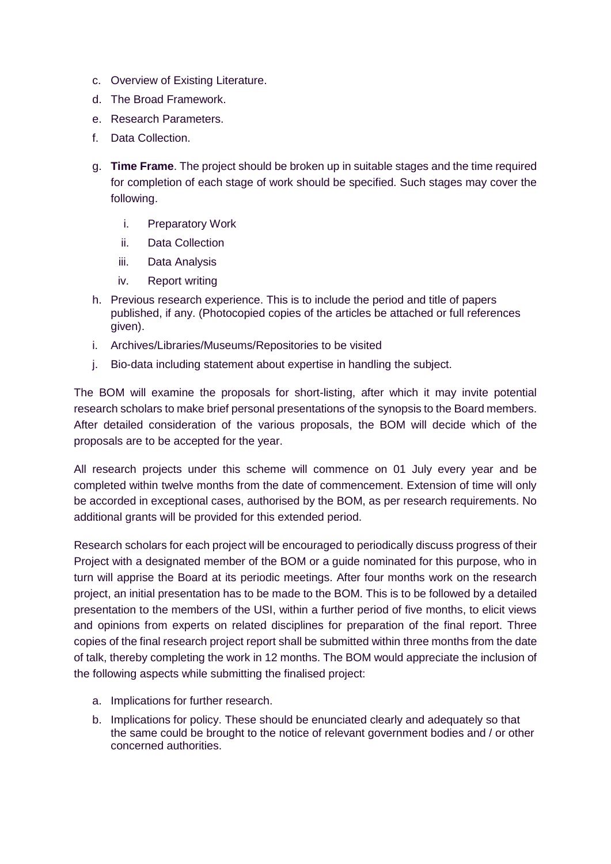- c. Overview of Existing Literature.
- d. The Broad Framework.
- e. Research Parameters.
- f. Data Collection.
- g. **Time Frame**. The project should be broken up in suitable stages and the time required for completion of each stage of work should be specified. Such stages may cover the following.
	- i. Preparatory Work
	- ii. Data Collection
	- iii. Data Analysis
	- iv. Report writing
- h. Previous research experience. This is to include the period and title of papers published, if any. (Photocopied copies of the articles be attached or full references given).
- i. Archives/Libraries/Museums/Repositories to be visited
- j. Bio-data including statement about expertise in handling the subject.

The BOM will examine the proposals for short-listing, after which it may invite potential research scholars to make brief personal presentations of the synopsis to the Board members. After detailed consideration of the various proposals, the BOM will decide which of the proposals are to be accepted for the year.

All research projects under this scheme will commence on 01 July every year and be completed within twelve months from the date of commencement. Extension of time will only be accorded in exceptional cases, authorised by the BOM, as per research requirements. No additional grants will be provided for this extended period.

Research scholars for each project will be encouraged to periodically discuss progress of their Project with a designated member of the BOM or a guide nominated for this purpose, who in turn will apprise the Board at its periodic meetings. After four months work on the research project, an initial presentation has to be made to the BOM. This is to be followed by a detailed presentation to the members of the USI, within a further period of five months, to elicit views and opinions from experts on related disciplines for preparation of the final report. Three copies of the final research project report shall be submitted within three months from the date of talk, thereby completing the work in 12 months. The BOM would appreciate the inclusion of the following aspects while submitting the finalised project:

- a. Implications for further research.
- b. Implications for policy. These should be enunciated clearly and adequately so that the same could be brought to the notice of relevant government bodies and / or other concerned authorities.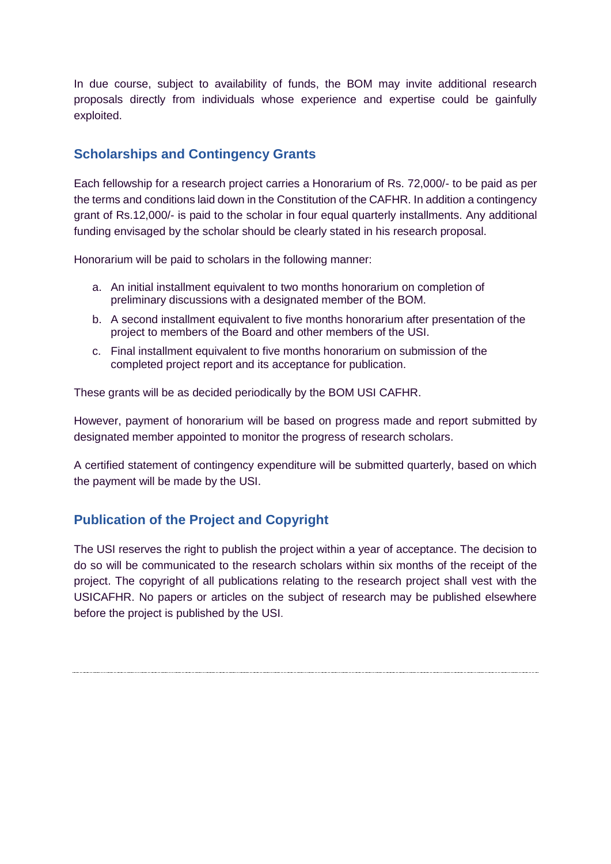In due course, subject to availability of funds, the BOM may invite additional research proposals directly from individuals whose experience and expertise could be gainfully exploited.

# **Scholarships and Contingency Grants**

Each fellowship for a research project carries a Honorarium of Rs. 72,000/- to be paid as per the terms and conditions laid down in the Constitution of the CAFHR. In addition a contingency grant of Rs.12,000/- is paid to the scholar in four equal quarterly installments. Any additional funding envisaged by the scholar should be clearly stated in his research proposal.

Honorarium will be paid to scholars in the following manner:

- a. An initial installment equivalent to two months honorarium on completion of preliminary discussions with a designated member of the BOM.
- b. A second installment equivalent to five months honorarium after presentation of the project to members of the Board and other members of the USI.
- c. Final installment equivalent to five months honorarium on submission of the completed project report and its acceptance for publication.

These grants will be as decided periodically by the BOM USI CAFHR.

However, payment of honorarium will be based on progress made and report submitted by designated member appointed to monitor the progress of research scholars.

A certified statement of contingency expenditure will be submitted quarterly, based on which the payment will be made by the USI.

# **Publication of the Project and Copyright**

The USI reserves the right to publish the project within a year of acceptance. The decision to do so will be communicated to the research scholars within six months of the receipt of the project. The copyright of all publications relating to the research project shall vest with the USICAFHR. No papers or articles on the subject of research may be published elsewhere before the project is published by the USI.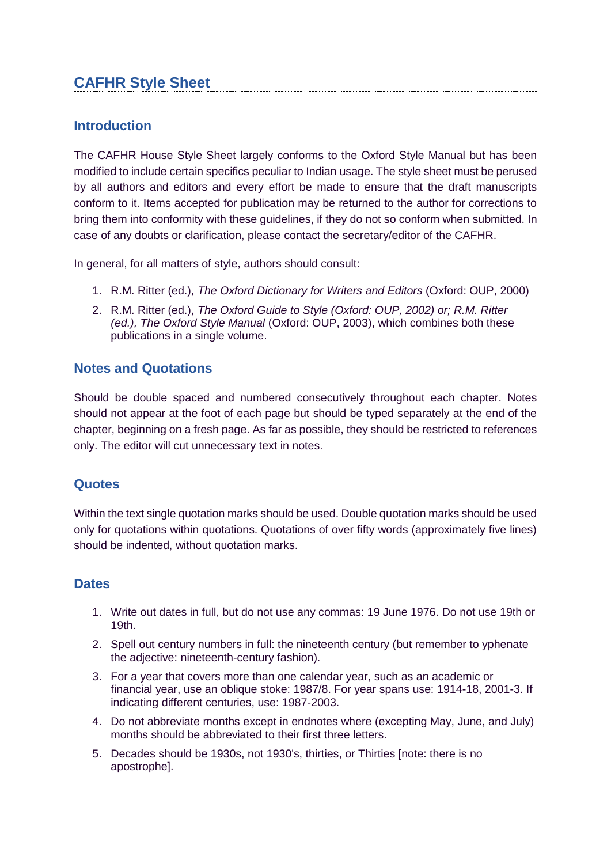# **CAFHR Style Sheet**

## **Introduction**

The CAFHR House Style Sheet largely conforms to the Oxford Style Manual but has been modified to include certain specifics peculiar to Indian usage. The style sheet must be perused by all authors and editors and every effort be made to ensure that the draft manuscripts conform to it. Items accepted for publication may be returned to the author for corrections to bring them into conformity with these guidelines, if they do not so conform when submitted. In case of any doubts or clarification, please contact the secretary/editor of the CAFHR.

In general, for all matters of style, authors should consult:

- 1. R.M. Ritter (ed.), *The Oxford Dictionary for Writers and Editors* (Oxford: OUP, 2000)
- 2. R.M. Ritter (ed.), *The Oxford Guide to Style (Oxford: OUP, 2002) or; R.M. Ritter (ed.), The Oxford Style Manual* (Oxford: OUP, 2003), which combines both these publications in a single volume.

## **Notes and Quotations**

Should be double spaced and numbered consecutively throughout each chapter. Notes should not appear at the foot of each page but should be typed separately at the end of the chapter, beginning on a fresh page. As far as possible, they should be restricted to references only. The editor will cut unnecessary text in notes.

## **Quotes**

Within the text single quotation marks should be used. Double quotation marks should be used only for quotations within quotations. Quotations of over fifty words (approximately five lines) should be indented, without quotation marks.

## **Dates**

- 1. Write out dates in full, but do not use any commas: 19 June 1976. Do not use 19th or 19th.
- 2. Spell out century numbers in full: the nineteenth century (but remember to yphenate the adjective: nineteenth-century fashion).
- 3. For a year that covers more than one calendar year, such as an academic or financial year, use an oblique stoke: 1987/8. For year spans use: 1914-18, 2001-3. If indicating different centuries, use: 1987-2003.
- 4. Do not abbreviate months except in endnotes where (excepting May, June, and July) months should be abbreviated to their first three letters.
- 5. Decades should be 1930s, not 1930's, thirties, or Thirties [note: there is no apostrophe].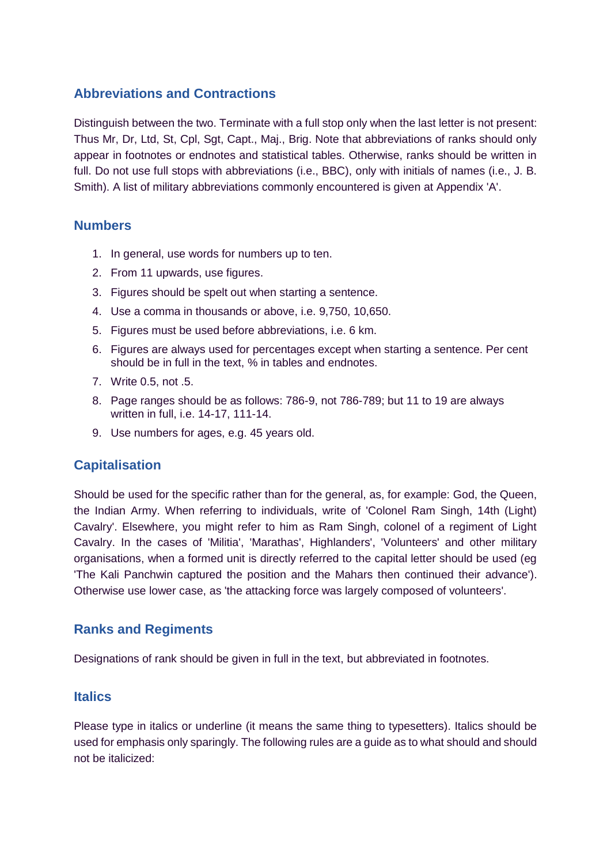## **Abbreviations and Contractions**

Distinguish between the two. Terminate with a full stop only when the last letter is not present: Thus Mr, Dr, Ltd, St, Cpl, Sgt, Capt., Maj., Brig. Note that abbreviations of ranks should only appear in footnotes or endnotes and statistical tables. Otherwise, ranks should be written in full. Do not use full stops with abbreviations (i.e., BBC), only with initials of names (i.e., J. B. Smith). A list of military abbreviations commonly encountered is given at Appendix 'A'.

#### **Numbers**

- 1. In general, use words for numbers up to ten.
- 2. From 11 upwards, use figures.
- 3. Figures should be spelt out when starting a sentence.
- 4. Use a comma in thousands or above, i.e. 9,750, 10,650.
- 5. Figures must be used before abbreviations, i.e. 6 km.
- 6. Figures are always used for percentages except when starting a sentence. Per cent should be in full in the text, % in tables and endnotes.
- 7. Write 0.5, not .5.
- 8. Page ranges should be as follows: 786-9, not 786-789; but 11 to 19 are always written in full, i.e. 14-17, 111-14.
- 9. Use numbers for ages, e.g. 45 years old.

## **Capitalisation**

Should be used for the specific rather than for the general, as, for example: God, the Queen, the Indian Army. When referring to individuals, write of 'Colonel Ram Singh, 14th (Light) Cavalry'. Elsewhere, you might refer to him as Ram Singh, colonel of a regiment of Light Cavalry. In the cases of 'Militia', 'Marathas', Highlanders', 'Volunteers' and other military organisations, when a formed unit is directly referred to the capital letter should be used (eg 'The Kali Panchwin captured the position and the Mahars then continued their advance'). Otherwise use lower case, as 'the attacking force was largely composed of volunteers'.

## **Ranks and Regiments**

Designations of rank should be given in full in the text, but abbreviated in footnotes.

#### **Italics**

Please type in italics or underline (it means the same thing to typesetters). Italics should be used for emphasis only sparingly. The following rules are a guide as to what should and should not be italicized: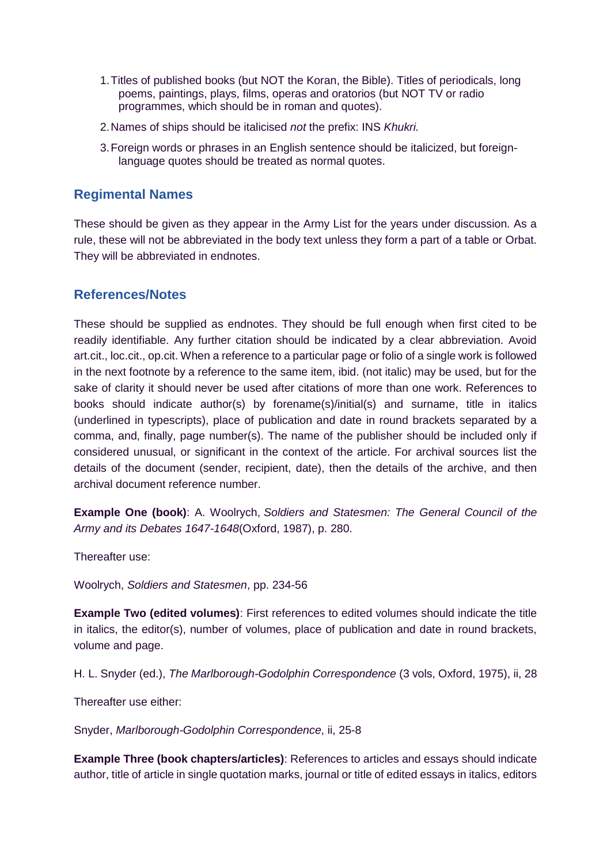- 1.Titles of published books (but NOT the Koran, the Bible). Titles of periodicals, long poems, paintings, plays, films, operas and oratorios (but NOT TV or radio programmes, which should be in roman and quotes).
- 2.Names of ships should be italicised *not* the prefix: INS *Khukri.*
- 3.Foreign words or phrases in an English sentence should be italicized, but foreignlanguage quotes should be treated as normal quotes.

#### **Regimental Names**

These should be given as they appear in the Army List for the years under discussion. As a rule, these will not be abbreviated in the body text unless they form a part of a table or Orbat. They will be abbreviated in endnotes.

#### **References/Notes**

These should be supplied as endnotes. They should be full enough when first cited to be readily identifiable. Any further citation should be indicated by a clear abbreviation. Avoid art.cit., loc.cit., op.cit. When a reference to a particular page or folio of a single work is followed in the next footnote by a reference to the same item, ibid. (not italic) may be used, but for the sake of clarity it should never be used after citations of more than one work. References to books should indicate author(s) by forename(s)/initial(s) and surname, title in italics (underlined in typescripts), place of publication and date in round brackets separated by a comma, and, finally, page number(s). The name of the publisher should be included only if considered unusual, or significant in the context of the article. For archival sources list the details of the document (sender, recipient, date), then the details of the archive, and then archival document reference number.

**Example One (book)**: A. Woolrych, *Soldiers and Statesmen: The General Council of the Army and its Debates 1647-1648*(Oxford, 1987), p. 280.

Thereafter use:

Woolrych, *Soldiers and Statesmen*, pp. 234-56

**Example Two (edited volumes)**: First references to edited volumes should indicate the title in italics, the editor(s), number of volumes, place of publication and date in round brackets, volume and page.

H. L. Snyder (ed.), *The Marlborough-Godolphin Correspondence* (3 vols, Oxford, 1975), ii, 28

Thereafter use either:

Snyder, *Marlborough-Godolphin Correspondence*, ii, 25-8

**Example Three (book chapters/articles)**: References to articles and essays should indicate author, title of article in single quotation marks, journal or title of edited essays in italics, editors